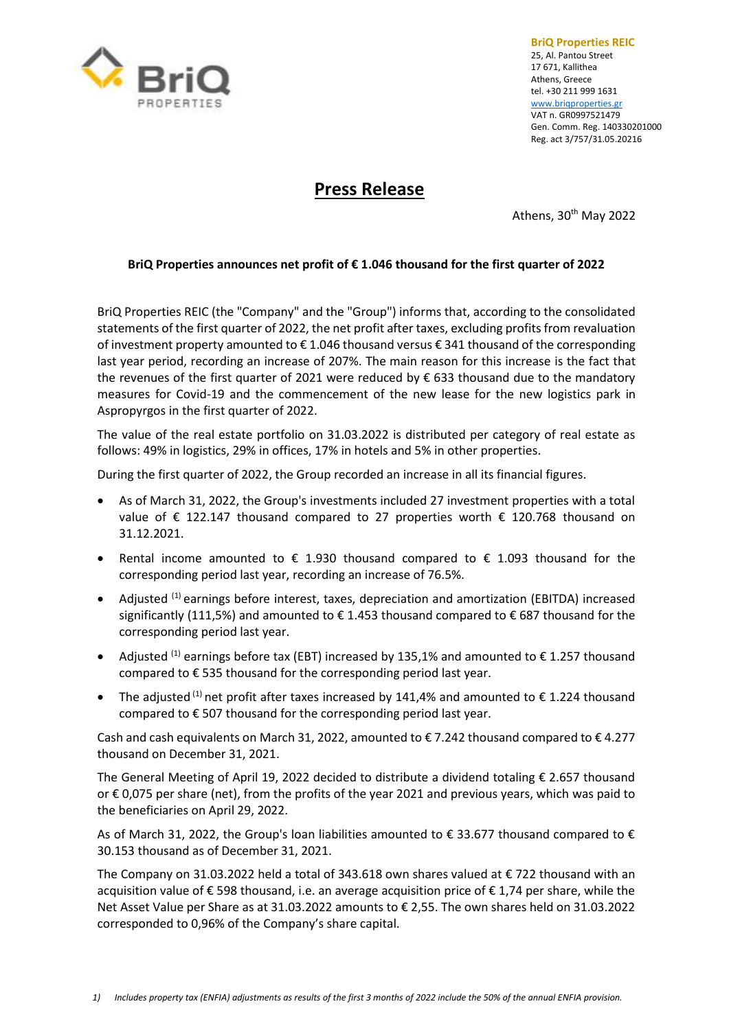

**BriQ Properties REIC** 25, Al. Pantou Street 17 671, Kallithea Athens, Greece tel. +30 211 999 1631 [www.briqproperties.gr](http://www.briqproperties.gr/) VAT n. GR0997521479 Gen. Comm. Reg. 140330201000 Reg. act 3/757/31.05.20216

## **Press Release**

Athens, 30<sup>th</sup> May 2022

## **BriQ Properties announces net profit of € 1.046 thousand for the first quarter of 2022**

BriQ Properties REIC (the "Company" and the "Group") informs that, according to the consolidated statements of the first quarter of 2022, the net profit after taxes, excluding profits from revaluation of investment property amounted to € 1.046 thousand versus € 341 thousand of the corresponding last year period, recording an increase of 207%. The main reason for this increase is the fact that the revenues of the first quarter of 2021 were reduced by € 633 thousand due to the mandatory measures for Covid-19 and the commencement of the new lease for the new logistics park in Aspropyrgos in the first quarter of 2022.

The value of the real estate portfolio on 31.03.2022 is distributed per category of real estate as follows: 49% in logistics, 29% in offices, 17% in hotels and 5% in other properties.

During the first quarter of 2022, the Group recorded an increase in all its financial figures.

- As of March 31, 2022, the Group's investments included 27 investment properties with a total value of € 122.147 thousand compared to 27 properties worth € 120.768 thousand on 31.12.2021.
- Rental income amounted to  $\epsilon$  1.930 thousand compared to  $\epsilon$  1.093 thousand for the corresponding period last year, recording an increase of 76.5%.
- Adjusted <sup>(1)</sup> earnings before interest, taxes, depreciation and amortization (EBITDA) increased significantly (111,5%) and amounted to  $\epsilon$  1.453 thousand compared to  $\epsilon$  687 thousand for the corresponding period last year.
- Adjusted <sup>(1)</sup> earnings before tax (EBT) increased by 135,1% and amounted to  $\epsilon$  1.257 thousand compared to € 535 thousand for the corresponding period last year.
- The adjusted <sup>(1)</sup> net profit after taxes increased by 141,4% and amounted to  $\epsilon$  1.224 thousand compared to € 507 thousand for the corresponding period last year.

Cash and cash equivalents on March 31, 2022, amounted to  $\epsilon$  7.242 thousand compared to  $\epsilon$  4.277 thousand on December 31, 2021.

The General Meeting of April 19, 2022 decided to distribute a dividend totaling € 2.657 thousand or € 0,075 per share (net), from the profits of the year 2021 and previous years, which was paid to the beneficiaries on April 29, 2022.

As of March 31, 2022, the Group's loan liabilities amounted to  $\epsilon$  33.677 thousand compared to  $\epsilon$ 30.153 thousand as of December 31, 2021.

The Company on 31.03.2022 held a total of 343.618 own shares valued at € 722 thousand with an acquisition value of € 598 thousand, i.e. an average acquisition price of € 1,74 per share, while the Net Asset Value per Share as at 31.03.2022 amounts to € 2,55. The own shares held on 31.03.2022 corresponded to 0,96% of the Company's share capital.